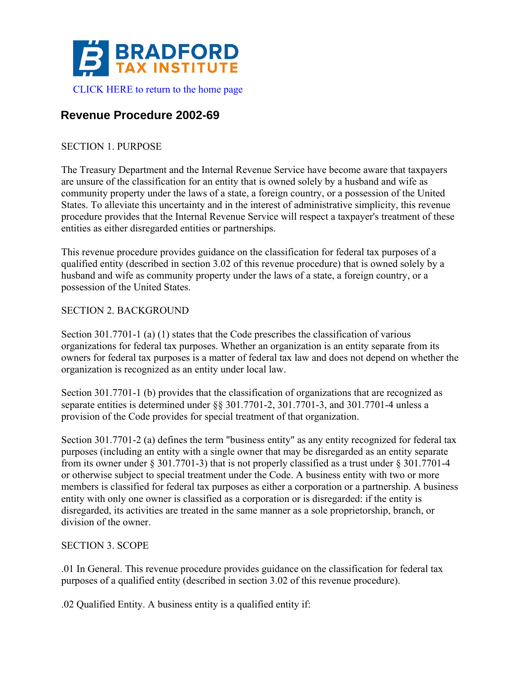

# **Revenue Procedure 2002-69**

## SECTION 1. PURPOSE

The Treasury Department and the Internal Revenue Service have become aware that taxpayers are unsure of the classification for an entity that is owned solely by a husband and wife as community property under the laws of a state, a foreign country, or a possession of the United States. To alleviate this uncertainty and in the interest of administrative simplicity, this revenue procedure provides that the Internal Revenue Service will respect a taxpayer's treatment of these entities as either disregarded entities or partnerships.

This revenue procedure provides guidance on the classification for federal tax purposes of a qualified entity (described in section 3.02 of this revenue procedure) that is owned solely by a husband and wife as community property under the laws of a state, a foreign country, or a possession of the United States.

#### SECTION 2. BACKGROUND

Section 301.7701-1 (a) (1) states that the Code prescribes the classification of various organizations for federal tax purposes. Whether an organization is an entity separate from its owners for federal tax purposes is a matter of federal tax law and does not depend on whether the organization is recognized as an entity under local law.

Section 301.7701-1 (b) provides that the classification of organizations that are recognized as separate entities is determined under §§ 301.7701-2, 301.7701-3, and 301.7701-4 unless a provision of the Code provides for special treatment of that organization.

Section 301.7701-2 (a) defines the term "business entity" as any entity recognized for federal tax purposes (including an entity with a single owner that may be disregarded as an entity separate from its owner under § 301.7701-3) that is not properly classified as a trust under § 301.7701-4 or otherwise subject to special treatment under the Code. A business entity with two or more members is classified for federal tax purposes as either a corporation or a partnership. A business entity with only one owner is classified as a corporation or is disregarded: if the entity is disregarded, its activities are treated in the same manner as a sole proprietorship, branch, or division of the owner.

#### SECTION 3. SCOPE

.01 In General. This revenue procedure provides guidance on the classification for federal tax purposes of a qualified entity (described in section 3.02 of this revenue procedure).

.02 Qualified Entity. A business entity is a qualified entity if: